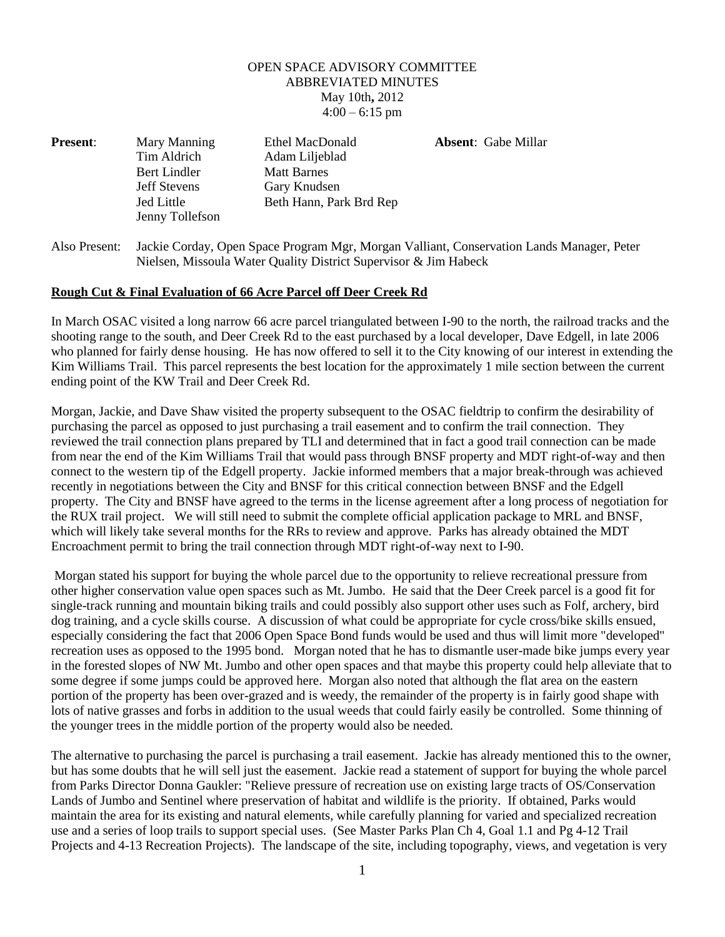## OPEN SPACE ADVISORY COMMITTEE ABBREVIATED MINUTES May 10th**,** 2012  $4:00 - 6:15$  pm

| <b>Present:</b> | Mary Manning        | Ethel MacDonald         | <b>Absent:</b> Gabe Millar |
|-----------------|---------------------|-------------------------|----------------------------|
|                 | Tim Aldrich         | Adam Liljeblad          |                            |
|                 | Bert Lindler        | <b>Matt Barnes</b>      |                            |
|                 | <b>Jeff Stevens</b> | Gary Knudsen            |                            |
|                 | Jed Little          | Beth Hann, Park Brd Rep |                            |
|                 | Jenny Tollefson     |                         |                            |

Also Present: Jackie Corday, Open Space Program Mgr, Morgan Valliant, Conservation Lands Manager, Peter Nielsen, Missoula Water Quality District Supervisor & Jim Habeck

## **Rough Cut & Final Evaluation of 66 Acre Parcel off Deer Creek Rd**

In March OSAC visited a long narrow 66 acre parcel triangulated between I-90 to the north, the railroad tracks and the shooting range to the south, and Deer Creek Rd to the east purchased by a local developer, Dave Edgell, in late 2006 who planned for fairly dense housing. He has now offered to sell it to the City knowing of our interest in extending the Kim Williams Trail. This parcel represents the best location for the approximately 1 mile section between the current ending point of the KW Trail and Deer Creek Rd.

Morgan, Jackie, and Dave Shaw visited the property subsequent to the OSAC fieldtrip to confirm the desirability of purchasing the parcel as opposed to just purchasing a trail easement and to confirm the trail connection. They reviewed the trail connection plans prepared by TLI and determined that in fact a good trail connection can be made from near the end of the Kim Williams Trail that would pass through BNSF property and MDT right-of-way and then connect to the western tip of the Edgell property. Jackie informed members that a major break-through was achieved recently in negotiations between the City and BNSF for this critical connection between BNSF and the Edgell property. The City and BNSF have agreed to the terms in the license agreement after a long process of negotiation for the RUX trail project. We will still need to submit the complete official application package to MRL and BNSF, which will likely take several months for the RRs to review and approve. Parks has already obtained the MDT Encroachment permit to bring the trail connection through MDT right-of-way next to I-90.

Morgan stated his support for buying the whole parcel due to the opportunity to relieve recreational pressure from other higher conservation value open spaces such as Mt. Jumbo. He said that the Deer Creek parcel is a good fit for single-track running and mountain biking trails and could possibly also support other uses such as Folf, archery, bird dog training, and a cycle skills course. A discussion of what could be appropriate for cycle cross/bike skills ensued, especially considering the fact that 2006 Open Space Bond funds would be used and thus will limit more "developed" recreation uses as opposed to the 1995 bond. Morgan noted that he has to dismantle user-made bike jumps every year in the forested slopes of NW Mt. Jumbo and other open spaces and that maybe this property could help alleviate that to some degree if some jumps could be approved here. Morgan also noted that although the flat area on the eastern portion of the property has been over-grazed and is weedy, the remainder of the property is in fairly good shape with lots of native grasses and forbs in addition to the usual weeds that could fairly easily be controlled. Some thinning of the younger trees in the middle portion of the property would also be needed.

The alternative to purchasing the parcel is purchasing a trail easement. Jackie has already mentioned this to the owner, but has some doubts that he will sell just the easement. Jackie read a statement of support for buying the whole parcel from Parks Director Donna Gaukler: "Relieve pressure of recreation use on existing large tracts of OS/Conservation Lands of Jumbo and Sentinel where preservation of habitat and wildlife is the priority. If obtained, Parks would maintain the area for its existing and natural elements, while carefully planning for varied and specialized recreation use and a series of loop trails to support special uses. (See Master Parks Plan Ch 4, Goal 1.1 and Pg 4-12 Trail Projects and 4-13 Recreation Projects). The landscape of the site, including topography, views, and vegetation is very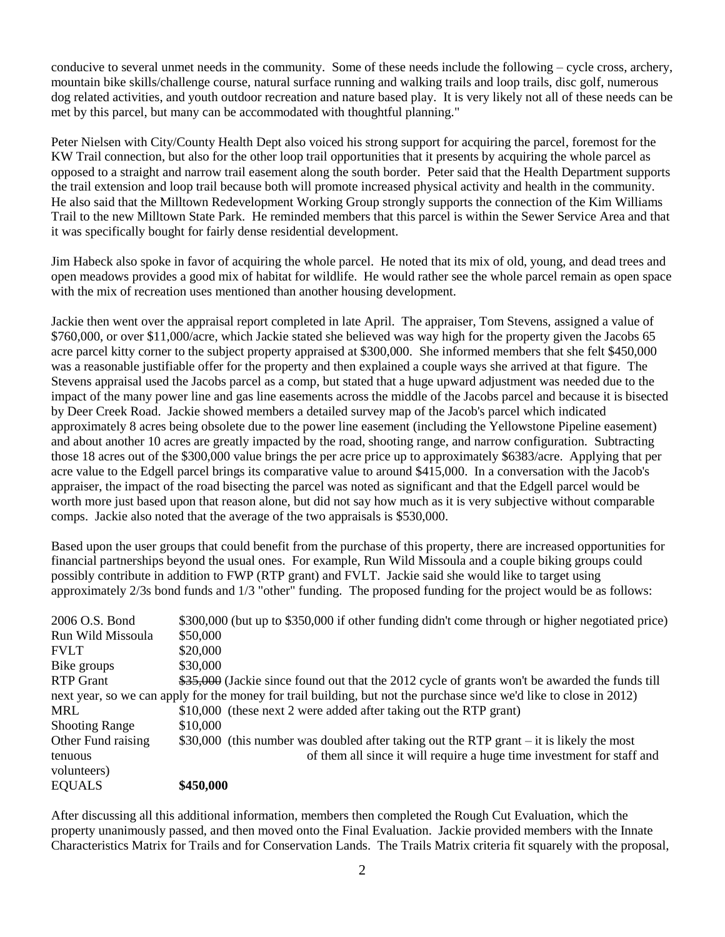conducive to several unmet needs in the community. Some of these needs include the following – cycle cross, archery, mountain bike skills/challenge course, natural surface running and walking trails and loop trails, disc golf, numerous dog related activities, and youth outdoor recreation and nature based play. It is very likely not all of these needs can be met by this parcel, but many can be accommodated with thoughtful planning."

Peter Nielsen with City/County Health Dept also voiced his strong support for acquiring the parcel, foremost for the KW Trail connection, but also for the other loop trail opportunities that it presents by acquiring the whole parcel as opposed to a straight and narrow trail easement along the south border. Peter said that the Health Department supports the trail extension and loop trail because both will promote increased physical activity and health in the community. He also said that the Milltown Redevelopment Working Group strongly supports the connection of the Kim Williams Trail to the new Milltown State Park. He reminded members that this parcel is within the Sewer Service Area and that it was specifically bought for fairly dense residential development.

Jim Habeck also spoke in favor of acquiring the whole parcel. He noted that its mix of old, young, and dead trees and open meadows provides a good mix of habitat for wildlife. He would rather see the whole parcel remain as open space with the mix of recreation uses mentioned than another housing development.

Jackie then went over the appraisal report completed in late April. The appraiser, Tom Stevens, assigned a value of \$760,000, or over \$11,000/acre, which Jackie stated she believed was way high for the property given the Jacobs 65 acre parcel kitty corner to the subject property appraised at \$300,000. She informed members that she felt \$450,000 was a reasonable justifiable offer for the property and then explained a couple ways she arrived at that figure. The Stevens appraisal used the Jacobs parcel as a comp, but stated that a huge upward adjustment was needed due to the impact of the many power line and gas line easements across the middle of the Jacobs parcel and because it is bisected by Deer Creek Road. Jackie showed members a detailed survey map of the Jacob's parcel which indicated approximately 8 acres being obsolete due to the power line easement (including the Yellowstone Pipeline easement) and about another 10 acres are greatly impacted by the road, shooting range, and narrow configuration. Subtracting those 18 acres out of the \$300,000 value brings the per acre price up to approximately \$6383/acre. Applying that per acre value to the Edgell parcel brings its comparative value to around \$415,000. In a conversation with the Jacob's appraiser, the impact of the road bisecting the parcel was noted as significant and that the Edgell parcel would be worth more just based upon that reason alone, but did not say how much as it is very subjective without comparable comps. Jackie also noted that the average of the two appraisals is \$530,000.

Based upon the user groups that could benefit from the purchase of this property, there are increased opportunities for financial partnerships beyond the usual ones. For example, Run Wild Missoula and a couple biking groups could possibly contribute in addition to FWP (RTP grant) and FVLT. Jackie said she would like to target using approximately 2/3s bond funds and 1/3 "other" funding. The proposed funding for the project would be as follows:

| 2006 O.S. Bond        | \$300,000 (but up to \$350,000 if other funding didn't come through or higher negotiated price)                     |
|-----------------------|---------------------------------------------------------------------------------------------------------------------|
| Run Wild Missoula     | \$50,000                                                                                                            |
| <b>FVLT</b>           | \$20,000                                                                                                            |
| Bike groups           | \$30,000                                                                                                            |
| <b>RTP</b> Grant      | \$35,000 (Jackie since found out that the 2012 cycle of grants won't be awarded the funds till                      |
|                       | next year, so we can apply for the money for trail building, but not the purchase since we'd like to close in 2012) |
| MRL                   | \$10,000 (these next 2 were added after taking out the RTP grant)                                                   |
| <b>Shooting Range</b> | \$10,000                                                                                                            |
| Other Fund raising    | \$30,000 (this number was doubled after taking out the RTP grant – it is likely the most                            |
| tenuous               | of them all since it will require a huge time investment for staff and                                              |
| volunteers)           |                                                                                                                     |
| <b>EQUALS</b>         | \$450,000                                                                                                           |

After discussing all this additional information, members then completed the Rough Cut Evaluation, which the property unanimously passed, and then moved onto the Final Evaluation. Jackie provided members with the Innate Characteristics Matrix for Trails and for Conservation Lands. The Trails Matrix criteria fit squarely with the proposal,